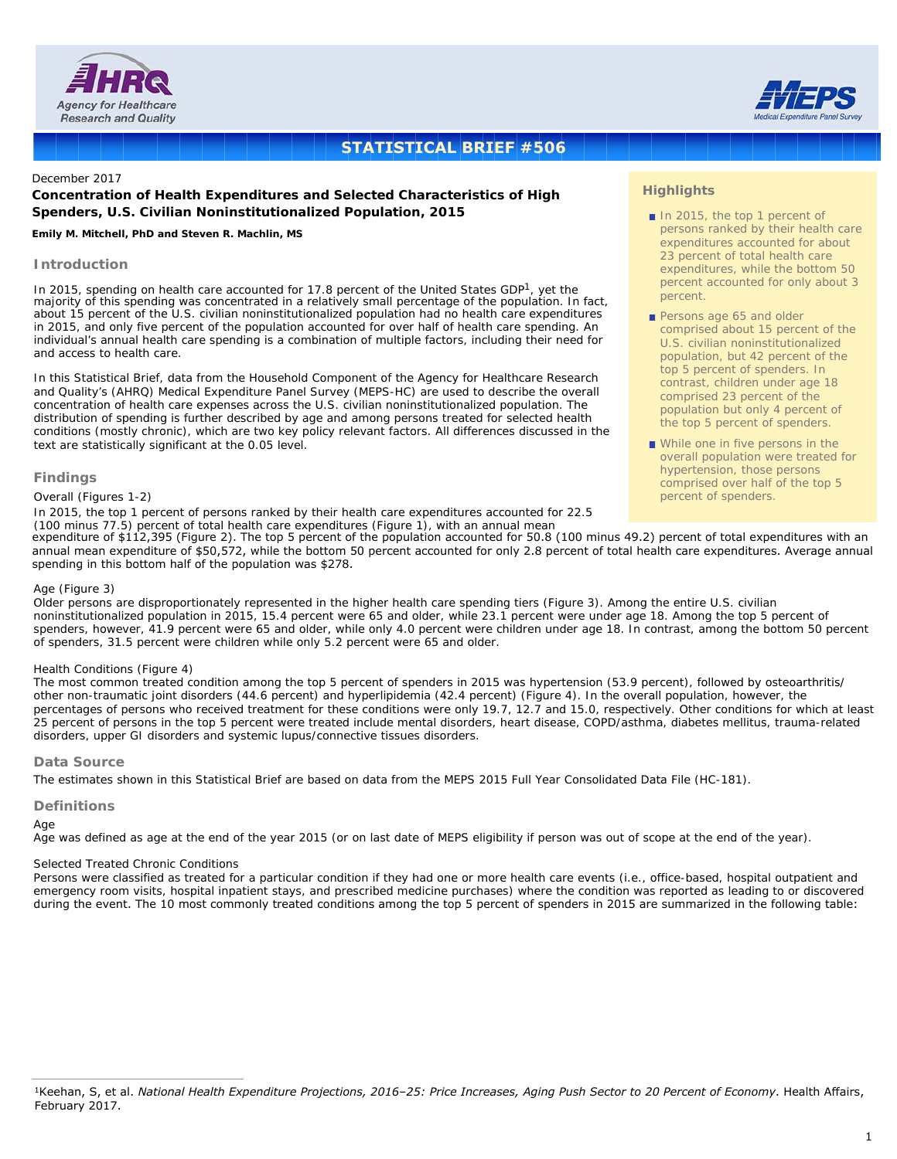



# **STATISTICAL BRIEF #506**

#### December 2017

## **Concentration of Health Expenditures and Selected Characteristics of High Spenders, U.S. Civilian Noninstitutionalized Population, 2015**

#### *Emily M. Mitchell, PhD and Steven R. Machlin, MS*

## **Introduction**

In 2015, spending on health care accounted for 17.8 percent of the United States GDP<sup>1</sup>, yet the majority of this spending was concentrated in a relatively small percentage of the population. In fact, about 15 percent of the U.S. civilian noninstitutionalized population had no health care expenditures in 2015, and only five percent of the population accounted for over half of health care spending. An individual's annual health care spending is a combination of multiple factors, including their need for and access to health care.

In this Statistical Brief, data from the Household Component of the Agency for Healthcare Research and Quality's (AHRQ) Medical Expenditure Panel Survey (MEPS-HC) are used to describe the overall concentration of health care expenses across the U.S. civilian noninstitutionalized population. The distribution of spending is further described by age and among persons treated for selected health conditions (mostly chronic), which are two key policy relevant factors. All differences discussed in the text are statistically significant at the 0.05 level.

## **Findings**

#### *Overall (Figures 1-2)*

In 2015, the top 1 percent of persons ranked by their health care expenditures accounted for 22.5 (100 minus 77.5) percent of total health care expenditures (Figure 1), with an annual mean

expenditure of \$112,395 (Figure 2). The top 5 percent of the population accounted for 50.8 (100 minus 49.2) percent of total expenditures with an annual mean expenditure of \$50,572, while the bottom 50 percent accounted for only 2.8 percent of total health care expenditures. Average annual spending in this bottom half of the population was \$278.

#### *Age (Figure 3)*

Older persons are disproportionately represented in the higher health care spending tiers (Figure 3). Among the entire U.S. civilian noninstitutionalized population in 2015, 15.4 percent were 65 and older, while 23.1 percent were under age 18. Among the top 5 percent of spenders, however, 41.9 percent were 65 and older, while only 4.0 percent were children under age 18. In contrast, among the bottom 50 percent of spenders, 31.5 percent were children while only 5.2 percent were 65 and older.

#### *Health Conditions (Figure 4)*

The most common treated condition among the top 5 percent of spenders in 2015 was hypertension (53.9 percent), followed by osteoarthritis/ other non-traumatic joint disorders (44.6 percent) and hyperlipidemia (42.4 percent) (Figure 4). In the overall population, however, the percentages of persons who received treatment for these conditions were only 19.7, 12.7 and 15.0, respectively. Other conditions for which at least 25 percent of persons in the top 5 percent were treated include mental disorders, heart disease, COPD/asthma, diabetes mellitus, trauma-related disorders, upper GI disorders and systemic lupus/connective tissues disorders.

## **Data Source**

The estimates shown in this Statistical Brief are based on data from the MEPS 2015 Full Year Consolidated Data File (HC-181).

#### **Definitions**

#### *Age*

Age was defined as age at the end of the year 2015 (or on last date of MEPS eligibility if person was out of scope at the end of the year).

#### *Selected Treated Chronic Conditions*

Persons were classified as treated for a particular condition if they had one or more health care events (i.e., office-based, hospital outpatient and emergency room visits, hospital inpatient stays, and prescribed medicine purchases) where the condition was reported as leading to or discovered during the event. The 10 most commonly treated conditions among the top 5 percent of spenders in 2015 are summarized in the following table:

## **Highlights**

- In 2015, the top 1 percent of persons ranked by their health care expenditures accounted for about 23 percent of total health care expenditures, while the bottom 50 percent accounted for only about 3 percent.
- Persons age 65 and older comprised about 15 percent of the U.S. civilian noninstitutionalized population, but 42 percent of the top 5 percent of spenders. In contrast, children under age 18 comprised 23 percent of the population but only 4 percent of the top 5 percent of spenders.
- While one in five persons in the overall population were treated for hypertension, those persons comprised over half of the top 5 percent of spenders.

<sup>1</sup>Keehan, S, et al. *National Health Expenditure Projections, 2016–25: Price Increases, Aging Push Sector to 20 Percent of Economy*. Health Affairs, February 2017.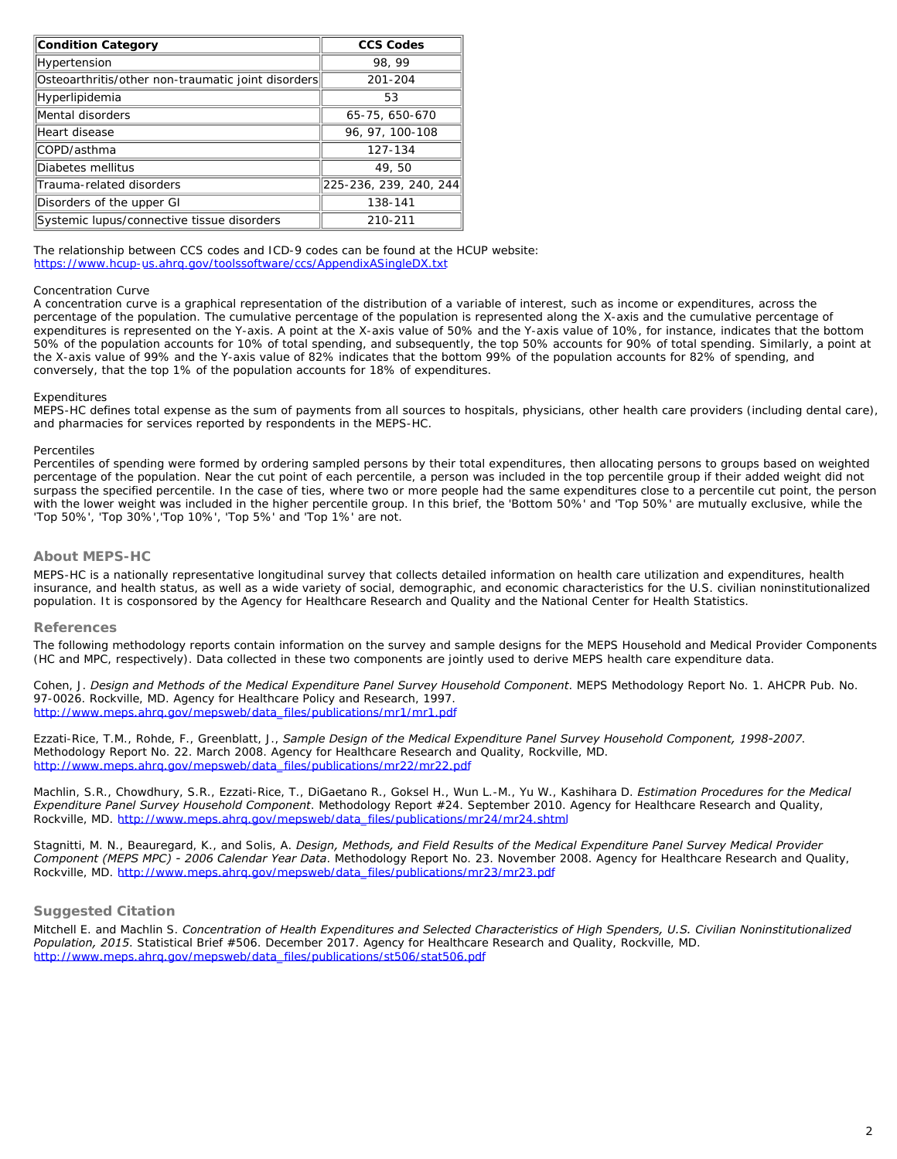| <b>Condition Category</b>                          | <b>CCS Codes</b>       |
|----------------------------------------------------|------------------------|
| Hypertension                                       | 98, 99                 |
| Osteoarthritis/other non-traumatic joint disorders | 201-204                |
| Hyperlipidemia                                     | 53                     |
| Mental disorders                                   | 65-75, 650-670         |
| Heart disease                                      | 96, 97, 100-108        |
| COPD/asthma                                        | 127-134                |
| Diabetes mellitus                                  | 49,50                  |
| Trauma-related disorders                           | 225-236, 239, 240, 244 |
| Disorders of the upper GI                          | 138-141                |
| Systemic lupus/connective tissue disorders         | 210-211                |

The relationship between CCS codes and ICD-9 codes can be found at the HCUP website: <https://www.hcup-us.ahrq.gov/toolssoftware/ccs/AppendixASingleDX.txt>

### *Concentration Curve*

A concentration curve is a graphical representation of the distribution of a variable of interest, such as income or expenditures, across the percentage of the population. The cumulative percentage of the population is represented along the X-axis and the cumulative percentage of expenditures is represented on the Y-axis. A point at the X-axis value of 50% and the Y-axis value of 10%, for instance, indicates that the bottom 50% of the population accounts for 10% of total spending, and subsequently, the top 50% accounts for 90% of total spending. Similarly, a point at the X-axis value of 99% and the Y-axis value of 82% indicates that the bottom 99% of the population accounts for 82% of spending, and conversely, that the top 1% of the population accounts for 18% of expenditures.

#### *Expenditures*

MEPS-HC defines total expense as the sum of payments from all sources to hospitals, physicians, other health care providers (including dental care), and pharmacies for services reported by respondents in the MEPS-HC.

#### *Percentiles*

Percentiles of spending were formed by ordering sampled persons by their total expenditures, then allocating persons to groups based on weighted percentage of the population. Near the cut point of each percentile, a person was included in the top percentile group if their added weight did not surpass the specified percentile. In the case of ties, where two or more people had the same expenditures close to a percentile cut point, the person with the lower weight was included in the higher percentile group. In this brief, the 'Bottom 50%' and 'Top 50%' are mutually exclusive, while the 'Top 50%', 'Top 30%','Top 10%', 'Top 5%' and 'Top 1%' are not.

## **About MEPS-HC**

MEPS-HC is a nationally representative longitudinal survey that collects detailed information on health care utilization and expenditures, health insurance, and health status, as well as a wide variety of social, demographic, and economic characteristics for the U.S. civilian noninstitutionalized population. It is cosponsored by the Agency for Healthcare Research and Quality and the National Center for Health Statistics.

## **References**

The following methodology reports contain information on the survey and sample designs for the MEPS Household and Medical Provider Components (HC and MPC, respectively). Data collected in these two components are jointly used to derive MEPS health care expenditure data.

Cohen, J. *Design and Methods of the Medical Expenditure Panel Survey Household Component*. MEPS Methodology Report No. 1. AHCPR Pub. No. 97-0026. Rockville, MD. Agency for Healthcare Policy and Research, 1997. [http://www.meps.ahrq.gov/mepsweb/data\\_files/publications/mr1/mr1.pdf](http://www.meps.ahrq.gov/mepsweb/data_files/publications/mr1/mr1.pdf)

Ezzati-Rice, T.M., Rohde, F., Greenblatt, J., *Sample Design of the Medical Expenditure Panel Survey Household Component, 1998-2007*. Methodology Report No. 22. March 2008. Agency for Healthcare Research and Quality, Rockville, MD. [http://www.meps.ahrq.gov/mepsweb/data\\_files/publications/mr22/mr22.pdf](http://www.meps.ahrq.gov/mepsweb/data_files/publications/mr22/mr22.pdf)

Machlin, S.R., Chowdhury, S.R., Ezzati-Rice, T., DiGaetano R., Goksel H., Wun L.-M., Yu W., Kashihara D. *Estimation Procedures for the Medical Expenditure Panel Survey Household Component*. Methodology Report #24. September 2010. Agency for Healthcare Research and Quality, Rockville, MD[. http://www.meps.ahrq.gov/mepsweb/data\\_files/publications/mr24/mr24.shtml](http://www.meps.ahrq.gov/mepsweb/data_files/publications/mr24/mr24.shtml)

Stagnitti, M. N., Beauregard, K., and Solis, A. *Design, Methods, and Field Results of the Medical Expenditure Panel Survey Medical Provider Component (MEPS MPC) - 2006 Calendar Year Data*. Methodology Report No. 23. November 2008. Agency for Healthcare Research and Quality, Rockville, MD[. http://www.meps.ahrq.gov/mepsweb/data\\_files/publications/mr23/mr23.pdf](http://www.meps.ahrq.gov/mepsweb/data_files/publications/mr23/mr23.pdf)

## **Suggested Citation**

Mitchell E. and Machlin S. *Concentration of Health Expenditures and Selected Characteristics of High Spenders, U.S. Civilian Noninstitutionalized Population, 2015*. Statistical Brief #506. December 2017. Agency for Healthcare Research and Quality, Rockville, MD. [http://www.meps.ahrq.gov/mepsweb/data\\_files/publications/st506/stat506.pdf](/mepsweb/data_files/publications/st506/stat506.pdf)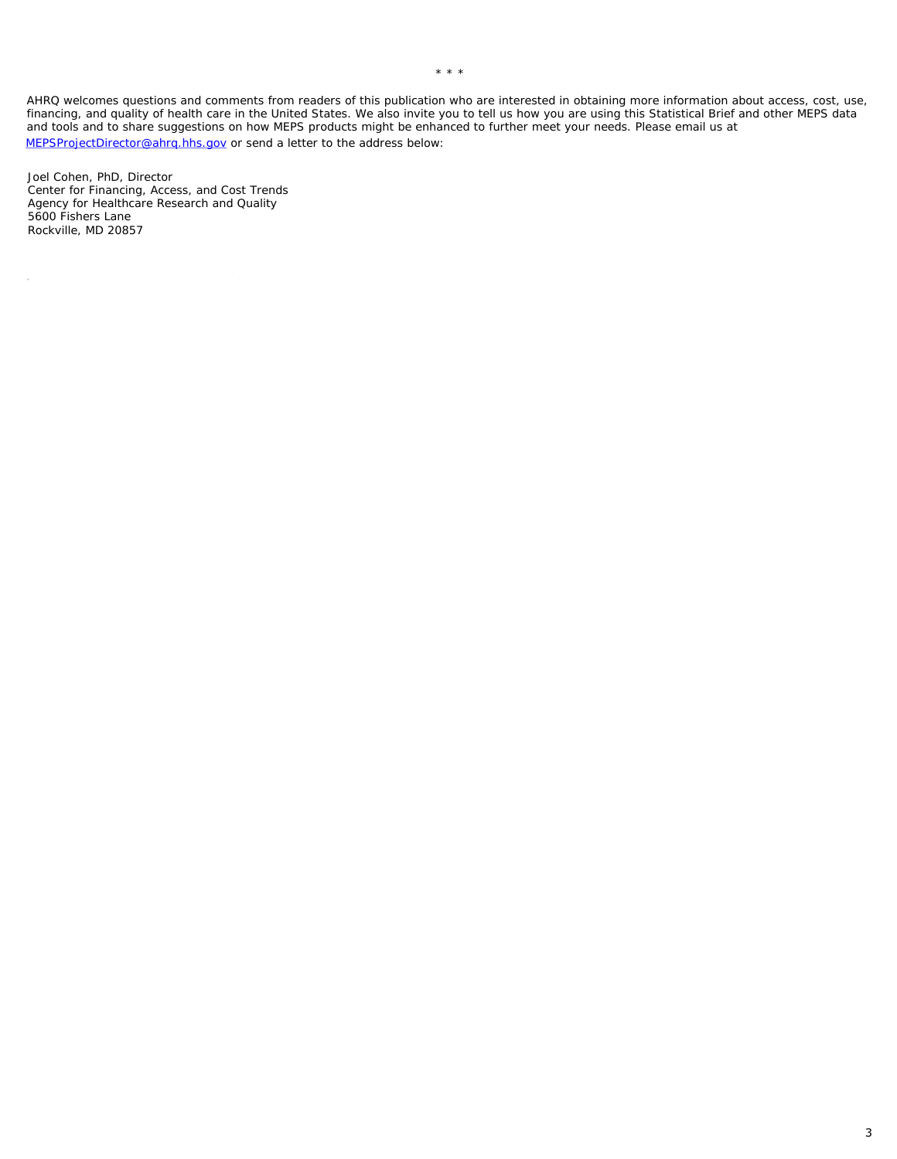AHRQ welcomes questions and comments from readers of this publication who are interested in obtaining more information about access, cost, use, financing, and quality of health care in the United States. We also invite you to tell us how you are using this Statistical Brief and other MEPS data and tools and to share suggestions on how MEPS products might be enhanced to further meet your needs. Please email us at MEPSProjectDirector@ahrq.hhs.gov or send a letter to the address below:

Joel Cohen, PhD, Director Center for Financing, Access, and Cost Trends Agency for Healthcare Research and Quality 5600 Fishers Lane Rockville, MD 20857

 $\bar{\nu}$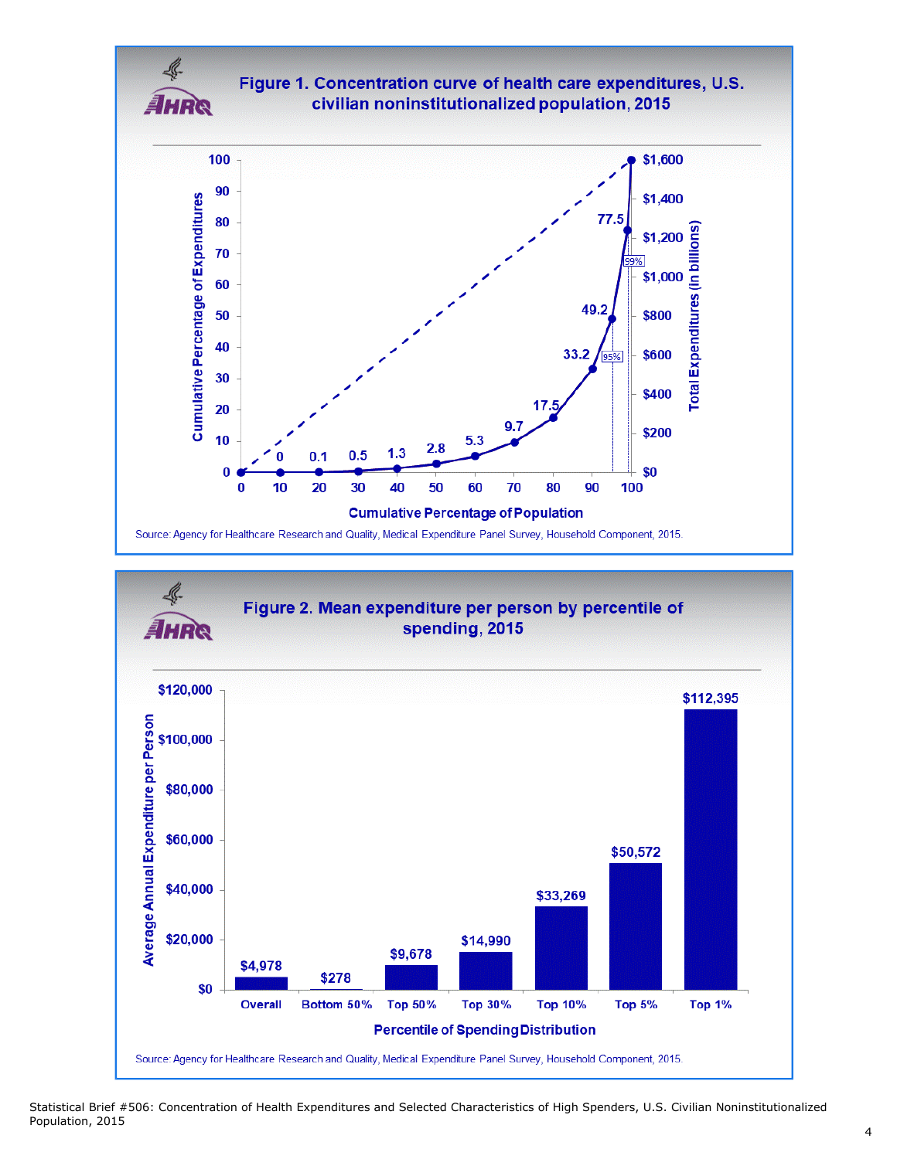

Source: Agency for Healthcare Research and Quality, Medical Expenditure Panel Survey, Household Component, 2015.

Statistical Brief #506: Concentration of Health Expenditures and Selected Characteristics of High Spenders, U.S. Civilian Noninstitutionalized Population, 2015